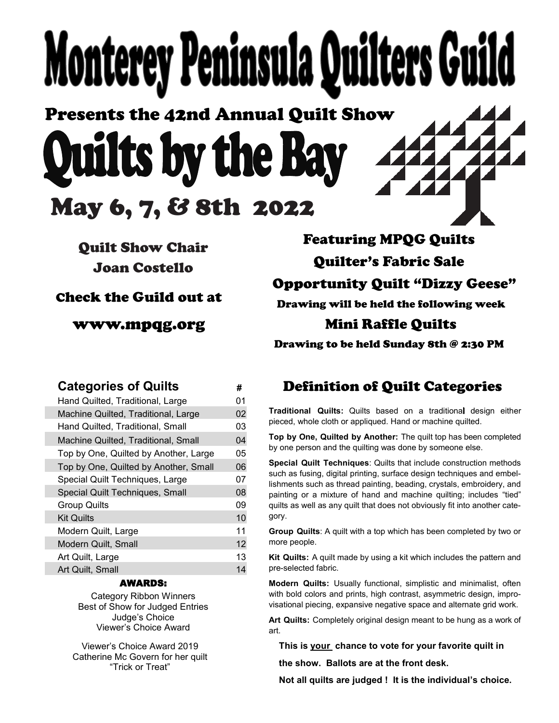# **Monterey Peninsula Quilters Gu**

Presents the 42nd Annual Quilt Show wilts by the Ba May 6, 7, & 8th 2022

Quilt Show Chair Joan Costello

Check the Guild out at

www.mpqg.org

Featuring MPQG Quilts Quilter's Fabric Sale Opportunity Quilt "Dizzy Geese" Drawing will be held the following week Mini Raffle Quilts

Drawing to be held Sunday 8th @ 2:30 PM

| <b>Categories of Quilts</b>         |                                       | #  |
|-------------------------------------|---------------------------------------|----|
| Hand Quilted, Traditional, Large    |                                       | 01 |
| Machine Quilted, Traditional, Large |                                       | 02 |
| Hand Quilted, Traditional, Small    |                                       | 03 |
| Machine Quilted, Traditional, Small |                                       | 04 |
|                                     | Top by One, Quilted by Another, Large | 05 |
|                                     | Top by One, Quilted by Another, Small | 06 |
| Special Quilt Techniques, Large     |                                       | 07 |
| Special Quilt Techniques, Small     |                                       | 08 |
| <b>Group Quilts</b>                 |                                       | 09 |
| <b>Kit Quilts</b>                   |                                       | 10 |
| Modern Quilt, Large                 |                                       | 11 |
| Modern Quilt, Small                 |                                       | 12 |
| Art Quilt, Large                    |                                       | 13 |
| Art Quilt, Small                    |                                       | 14 |
|                                     |                                       |    |

## AWARDS:

Category Ribbon Winners Best of Show for Judged Entries Judge's Choice Viewer's Choice Award

Viewer's Choice Award 2019 Catherine Mc Govern for her quilt "Trick or Treat"

# **Definition of Quilt Categories**

**Traditional Quilts:** Quilts based on a traditional design either pieced, whole cloth or appliqued. Hand or machine quilted.

**Top by One, Quilted by Another:** The quilt top has been completed by one person and the quilting was done by someone else.

**Special Quilt Techniques**: Quilts that include construction methods such as fusing, digital printing, surface design techniques and embellishments such as thread painting, beading, crystals, embroidery, and painting or a mixture of hand and machine quilting; includes "tied" quilts as well as any quilt that does not obviously fit into another category.

**Group Quilts**: A quilt with a top which has been completed by two or more people.

**Kit Quilts:** A quilt made by using a kit which includes the pattern and pre-selected fabric. ŗ

**Modern Quilts:** Usually functional, simplistic and minimalist, often with bold colors and prints, high contrast, asymmetric design, improvisational piecing, expansive negative space and alternate grid work.

**Art Quilts:** Completely original design meant to be hung as a work of art.

**This is your chance to vote for your favorite quilt in**

**the show. Ballots are at the front desk.** 

**Not all quilts are judged ! It is the individual's choice.**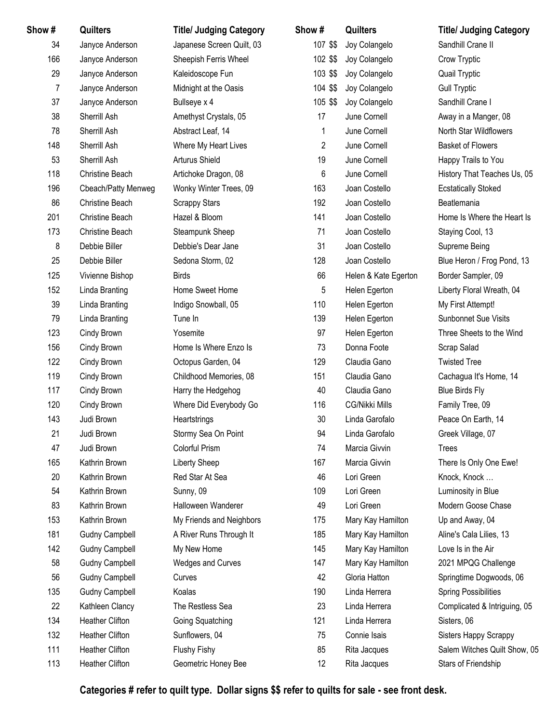| Show # | Quilters               | <b>Title/ Judging Category</b> | Show#          | Quilters              | <b>Title/ Judging Category</b> |
|--------|------------------------|--------------------------------|----------------|-----------------------|--------------------------------|
| 34     | Janyce Anderson        | Japanese Screen Quilt, 03      | 107 \$\$       | Joy Colangelo         | Sandhill Crane II              |
| 166    | Janyce Anderson        | Sheepish Ferris Wheel          | 102 \$\$       | Joy Colangelo         | Crow Tryptic                   |
| 29     | Janyce Anderson        | Kaleidoscope Fun               | 103 \$\$       | Joy Colangelo         | Quail Tryptic                  |
| 7      | Janyce Anderson        | Midnight at the Oasis          | 104 \$\$       | Joy Colangelo         | <b>Gull Tryptic</b>            |
| 37     | Janyce Anderson        | Bullseye x 4                   | 105 \$\$       | Joy Colangelo         | Sandhill Crane I               |
| 38     | Sherrill Ash           | Amethyst Crystals, 05          | 17             | June Cornell          | Away in a Manger, 08           |
| 78     | Sherrill Ash           | Abstract Leaf, 14              | 1              | June Cornell          | North Star Wildflowers         |
| 148    | Sherrill Ash           | Where My Heart Lives           | $\overline{2}$ | June Cornell          | <b>Basket of Flowers</b>       |
| 53     | Sherrill Ash           | Arturus Shield                 | 19             | June Cornell          | Happy Trails to You            |
| 118    | Christine Beach        | Artichoke Dragon, 08           | 6              | June Cornell          | History That Teaches Us, 05    |
| 196    | Cbeach/Patty Menweg    | Wonky Winter Trees, 09         | 163            | Joan Costello         | <b>Ecstatically Stoked</b>     |
| 86     | Christine Beach        | <b>Scrappy Stars</b>           | 192            | Joan Costello         | Beatlemania                    |
| 201    | <b>Christine Beach</b> | Hazel & Bloom                  | 141            | Joan Costello         | Home Is Where the Heart Is     |
| 173    | <b>Christine Beach</b> | Steampunk Sheep                | 71             | Joan Costello         | Staying Cool, 13               |
| 8      | Debbie Biller          | Debbie's Dear Jane             | 31             | Joan Costello         | Supreme Being                  |
| 25     | Debbie Biller          | Sedona Storm, 02               | 128            | Joan Costello         | Blue Heron / Frog Pond, 13     |
| 125    | Vivienne Bishop        | <b>Birds</b>                   | 66             | Helen & Kate Egerton  | Border Sampler, 09             |
| 152    | Linda Branting         | Home Sweet Home                | 5              | Helen Egerton         | Liberty Floral Wreath, 04      |
| 39     | Linda Branting         | Indigo Snowball, 05            | 110            | Helen Egerton         | My First Attempt!              |
| 79     | Linda Branting         | Tune In                        | 139            | Helen Egerton         | Sunbonnet Sue Visits           |
| 123    | Cindy Brown            | Yosemite                       | 97             | Helen Egerton         | Three Sheets to the Wind       |
| 156    | Cindy Brown            | Home Is Where Enzo Is          | 73             | Donna Foote           | Scrap Salad                    |
| 122    | Cindy Brown            | Octopus Garden, 04             | 129            | Claudia Gano          | <b>Twisted Tree</b>            |
| 119    | Cindy Brown            | Childhood Memories, 08         | 151            | Claudia Gano          | Cachagua It's Home, 14         |
| 117    | Cindy Brown            | Harry the Hedgehog             | 40             | Claudia Gano          | <b>Blue Birds Fly</b>          |
| 120    | Cindy Brown            | Where Did Everybody Go         | 116            | <b>CG/Nikki Mills</b> | Family Tree, 09                |
| 143    | Judi Brown             | Heartstrings                   | 30             | Linda Garofalo        | Peace On Earth, 14             |
| 21     | Judi Brown             | Stormy Sea On Point            | 94             | Linda Garofalo        | Greek Village, 07              |
| 47     | Judi Brown             | Colorful Prism                 | 74             | Marcia Givvin         | <b>Trees</b>                   |
| 165    | Kathrin Brown          | Liberty Sheep                  | 167            | Marcia Givvin         | There Is Only One Ewe!         |
| 20     | Kathrin Brown          | Red Star At Sea                | 46             | Lori Green            | Knock, Knock                   |
| 54     | Kathrin Brown          | Sunny, 09                      | 109            | Lori Green            | Luminosity in Blue             |
| 83     | Kathrin Brown          | Halloween Wanderer             | 49             | Lori Green            | Modern Goose Chase             |
| 153    | Kathrin Brown          | My Friends and Neighbors       | 175            | Mary Kay Hamilton     | Up and Away, 04                |
| 181    | <b>Gudny Campbell</b>  | A River Runs Through It        | 185            | Mary Kay Hamilton     | Aline's Cala Lilies, 13        |
| 142    | <b>Gudny Campbell</b>  | My New Home                    | 145            | Mary Kay Hamilton     | Love Is in the Air             |
| 58     | <b>Gudny Campbell</b>  | <b>Wedges and Curves</b>       | 147            | Mary Kay Hamilton     | 2021 MPQG Challenge            |
| 56     | <b>Gudny Campbell</b>  | Curves                         | 42             | Gloria Hatton         | Springtime Dogwoods, 06        |
| 135    | <b>Gudny Campbell</b>  | Koalas                         | 190            | Linda Herrera         | <b>Spring Possibilities</b>    |
| 22     | Kathleen Clancy        | The Restless Sea               | 23             | Linda Herrera         | Complicated & Intriguing, 05   |
| 134    | <b>Heather Clifton</b> | Going Squatching               | 121            | Linda Herrera         | Sisters, 06                    |
| 132    | <b>Heather Clifton</b> | Sunflowers, 04                 | 75             | Connie Isais          | Sisters Happy Scrappy          |
| 111    | <b>Heather Clifton</b> | Flushy Fishy                   | 85             | Rita Jacques          | Salem Witches Quilt Show, 05   |
| 113    | Heather Clifton        | Geometric Honey Bee            | 12             | Rita Jacques          | Stars of Friendship            |
|        |                        |                                |                |                       |                                |

**Categories # refer to quilt type. Dollar signs \$\$ refer to quilts for sale - see front desk.**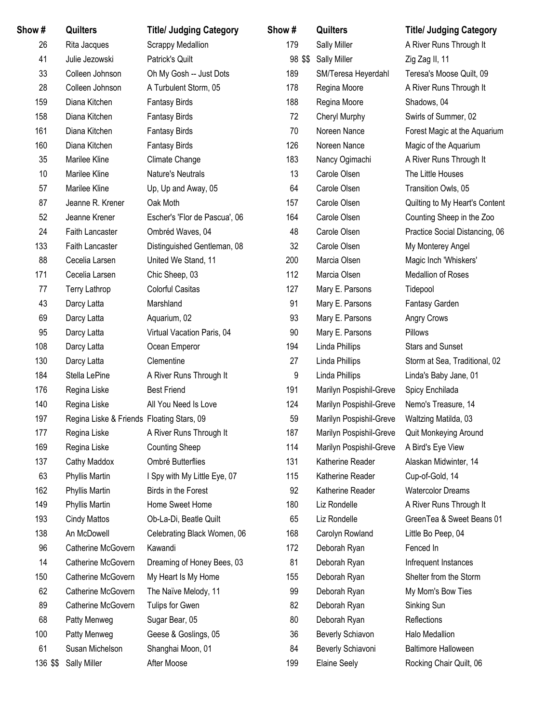| Show #   | Quilters                                  | <b>Title/ Judging Category</b> | Show#   | Quilters                | <b>Title/ Judging Category</b> |
|----------|-------------------------------------------|--------------------------------|---------|-------------------------|--------------------------------|
| 26       | Rita Jacques                              | <b>Scrappy Medallion</b>       | 179     | Sally Miller            | A River Runs Through It        |
| 41       | Julie Jezowski                            | Patrick's Quilt                | 98 \$\$ | <b>Sally Miller</b>     | Zig Zag II, 11                 |
| 33       | Colleen Johnson                           | Oh My Gosh -- Just Dots        | 189     | SM/Teresa Heyerdahl     | Teresa's Moose Quilt, 09       |
| 28       | Colleen Johnson                           | A Turbulent Storm, 05          | 178     | Regina Moore            | A River Runs Through It        |
| 159      | Diana Kitchen                             | <b>Fantasy Birds</b>           | 188     | Regina Moore            | Shadows, 04                    |
| 158      | Diana Kitchen                             | <b>Fantasy Birds</b>           | 72      | Cheryl Murphy           | Swirls of Summer, 02           |
| 161      | Diana Kitchen                             | <b>Fantasy Birds</b>           | 70      | Noreen Nance            | Forest Magic at the Aquarium   |
| 160      | Diana Kitchen                             | <b>Fantasy Birds</b>           | 126     | Noreen Nance            | Magic of the Aquarium          |
| 35       | Marilee Kline                             | Climate Change                 | 183     | Nancy Ogimachi          | A River Runs Through It        |
| 10       | Marilee Kline                             | Nature's Neutrals              | 13      | Carole Olsen            | The Little Houses              |
| 57       | Marilee Kline                             | Up, Up and Away, 05            | 64      | Carole Olsen            | Transition Owls, 05            |
| 87       | Jeanne R. Krener                          | Oak Moth                       | 157     | Carole Olsen            | Quilting to My Heart's Content |
| 52       | Jeanne Krener                             | Escher's 'Flor de Pascua', 06  | 164     | Carole Olsen            | Counting Sheep in the Zoo      |
| 24       | Faith Lancaster                           | Ombréd Waves, 04               | 48      | Carole Olsen            | Practice Social Distancing, 06 |
| 133      | Faith Lancaster                           | Distinguished Gentleman, 08    | 32      | Carole Olsen            | My Monterey Angel              |
| 88       | Cecelia Larsen                            | United We Stand, 11            | 200     | Marcia Olsen            | Magic Inch 'Whiskers'          |
| 171      | Cecelia Larsen                            | Chic Sheep, 03                 | 112     | Marcia Olsen            | Medallion of Roses             |
| 77       | Terry Lathrop                             | <b>Colorful Casitas</b>        | 127     | Mary E. Parsons         | Tidepool                       |
| 43       | Darcy Latta                               | Marshland                      | 91      | Mary E. Parsons         | Fantasy Garden                 |
| 69       | Darcy Latta                               | Aquarium, 02                   | 93      | Mary E. Parsons         | Angry Crows                    |
| 95       | Darcy Latta                               | Virtual Vacation Paris, 04     | 90      | Mary E. Parsons         | Pillows                        |
| 108      | Darcy Latta                               | Ocean Emperor                  | 194     | Linda Phillips          | <b>Stars and Sunset</b>        |
| 130      | Darcy Latta                               | Clementine                     | 27      | Linda Phillips          | Storm at Sea, Traditional, 02  |
| 184      | Stella LePine                             | A River Runs Through It        | 9       | Linda Phillips          | Linda's Baby Jane, 01          |
| 176      | Regina Liske                              | <b>Best Friend</b>             | 191     | Marilyn Pospishil-Greve | Spicy Enchilada                |
| 140      | Regina Liske                              | All You Need Is Love           | 124     | Marilyn Pospishil-Greve | Nemo's Treasure, 14            |
| 197      | Regina Liske & Friends Floating Stars, 09 |                                | 59      | Marilyn Pospishil-Greve | Waltzing Matilda, 03           |
| 177      | Regina Liske                              | A River Runs Through It        | 187     | Marilyn Pospishil-Greve | Quit Monkeying Around          |
| 169      | Regina Liske                              | <b>Counting Sheep</b>          | 114     | Marilyn Pospishil-Greve | A Bird's Eye View              |
| 137      | Cathy Maddox                              | Ombré Butterflies              | 131     | Katherine Reader        | Alaskan Midwinter, 14          |
| 63       | Phyllis Martin                            | I Spy with My Little Eye, 07   | 115     | Katherine Reader        | Cup-of-Gold, 14                |
| 162      | Phyllis Martin                            | Birds in the Forest            | 92      | Katherine Reader        | <b>Watercolor Dreams</b>       |
| 149      | Phyllis Martin                            | Home Sweet Home                | 180     | Liz Rondelle            | A River Runs Through It        |
| 193      | <b>Cindy Mattos</b>                       | Ob-La-Di, Beatle Quilt         | 65      | Liz Rondelle            | GreenTea & Sweet Beans 01      |
| 138      | An McDowell                               | Celebrating Black Women, 06    | 168     | Carolyn Rowland         | Little Bo Peep, 04             |
| 96       | Catherine McGovern                        | Kawandi                        | 172     | Deborah Ryan            | Fenced In                      |
| 14       | Catherine McGovern                        | Dreaming of Honey Bees, 03     | 81      | Deborah Ryan            | Infrequent Instances           |
| 150      | Catherine McGovern                        | My Heart Is My Home            | 155     | Deborah Ryan            | Shelter from the Storm         |
| 62       | Catherine McGovern                        | The Naïve Melody, 11           | 99      | Deborah Ryan            | My Mom's Bow Ties              |
| 89       | Catherine McGovern                        | Tulips for Gwen                | 82      | Deborah Ryan            | Sinking Sun                    |
| 68       | Patty Menweg                              | Sugar Bear, 05                 | 80      | Deborah Ryan            | Reflections                    |
| 100      | Patty Menweg                              | Geese & Goslings, 05           | 36      | Beverly Schiavon        | Halo Medallion                 |
| 61       | Susan Michelson                           | Shanghai Moon, 01              | 84      | Beverly Schiavoni       | <b>Baltimore Halloween</b>     |
| 136 \$\$ | <b>Sally Miller</b>                       | After Moose                    | 199     | <b>Elaine Seely</b>     | Rocking Chair Quilt, 06        |